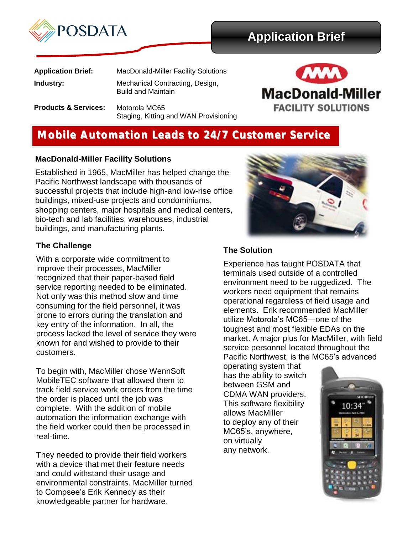

# **Application Brief**

| <b>Application Brief:</b>       | <b>MacDonald-Miller Facility Solutions</b>                   |
|---------------------------------|--------------------------------------------------------------|
| Industry:                       | Mechanical Contracting, Design,<br><b>Build and Maintain</b> |
| <b>Products &amp; Services:</b> | Motorola MC65                                                |

Motorola MC65 Staging, Kitting and WAN Provisioning



## **Mobile Automation Leads to 24/7 Customer Service**

### **MacDonald-Miller Facility Solutions**

Established in 1965, MacMiller has helped change the Pacific Northwest landscape with thousands of successful projects that include high-and low-rise office buildings, mixed-use projects and condominiums, shopping centers, major hospitals and medical centers, bio-tech and lab facilities, warehouses, industrial buildings, and manufacturing plants.

### **The Challenge**

With a corporate wide commitment to improve their processes, MacMiller recognized that their paper-based field service reporting needed to be eliminated. Not only was this method slow and time consuming for the field personnel, it was prone to errors during the translation and key entry of the information. In all, the process lacked the level of service they were known for and wished to provide to their customers.

To begin with, MacMiller chose WennSoft MobileTEC software that allowed them to track field service work orders from the time the order is placed until the job was complete. With the addition of mobile automation the information exchange with the field worker could then be processed in real-time.

They needed to provide their field workers with a device that met their feature needs and could withstand their usage and environmental constraints. MacMiller turned to Compsee's Erik Kennedy as their knowledgeable partner for hardware.



### **The Solution**

Experience has taught POSDATA that terminals used outside of a controlled environment need to be ruggedized. The workers need equipment that remains operational regardless of field usage and elements. Erik recommended MacMiller utilize Motorola's MC65—one of the toughest and most flexible EDAs on the market. A major plus for MacMiller, with field service personnel located throughout the Pacific Northwest, is the MC65's advanced

operating system that has the ability to switch between GSM and CDMA WAN providers. This software flexibility allows MacMiller to deploy any of their MC65's, anywhere, on virtually any network.